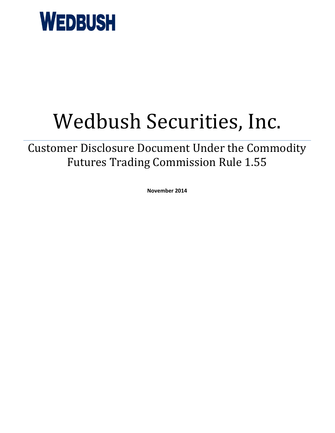

# Wedbush Securities, Inc.

Customer Disclosure Document Under the Commodity Futures Trading Commission Rule 1.55

**November 2014**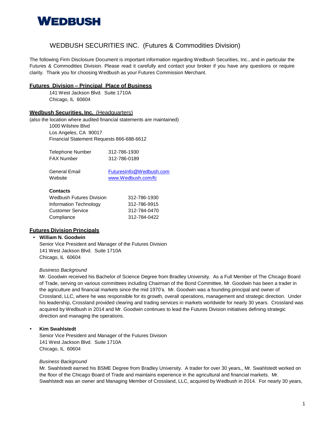

# WEDBUSH SECURITIES INC. (Futures & Commodities Division)

The following Firm Disclosure Document is important information regarding Wedbush Securities, Inc., and in particular the Futures & Commodities Division. Please read it carefully and contact your broker if you have any questions or require clarity. Thank you for choosing Wedbush as your Futures Commission Merchant.

# **Futures Division – Principal\_Place of Business**

141 West Jackson Blvd. Suite 1710A Chicago, IL 60604

# **Wedbush Securities, Inc.** (Headquarters)

(also the location where audited financial statements are maintained)

1000 Wilshire Blvd Los Angeles, CA 90017 Financial Statement Requests 866-688-6612

| Telephone Number | 312-786-1930 |
|------------------|--------------|
| FAX Number       | 312-786-0189 |

| General Email | FuturesInfo@Wedbush.com |
|---------------|-------------------------|
| Website       | www.Wedbush.com/fc      |

#### **Contacts**

| Wedbush Futures Division | 312-786-1930 |
|--------------------------|--------------|
| Information Technology   | 312-786-9915 |
| Customer Service         | 312-784-0470 |
| Compliance               | 312-784-0422 |
|                          |              |

# **Futures Division Principals**

# • **William N. Goodwin**

Senior Vice President and Manager of the Futures Division 141 West Jackson Blvd. Suite 1710A Chicago, IL 60604

# *Business Background*

Mr. Goodwin received his Bachelor of Science Degree from Bradley University. As a Full Member of The Chicago Board of Trade, serving on various committees including Chairman of the Bond Committee, Mr. Goodwin has been a trader in the agriculture and financial markets since the mid 1970's. Mr. Goodwin was a founding principal and owner of Crossland, LLC, where he was responsible for its growth, overall operations, management and strategic direction. Under his leadership, Crossland provided clearing and trading services in markets worldwide for nearly 30 years. Crossland was acquired by Wedbush in 2014 and Mr. Goodwin continues to lead the Futures Division initiatives defining strategic direction and managing the operations.

# • **Kim Swahlstedt**

Senior Vice President and Manager of the Futures Division 141 West Jackson Blvd. Suite 1710A Chicago, IL 60604

#### *Business Background*

Mr. Swahlstedt earned his BSME Degree from Bradley University. A trader for over 30 years,, Mr. Swahlstedt worked on the floor of the Chicago Board of Trade and maintains experience in the agricultural and financial markets. Mr. Swahlstedt was an owner and Managing Member of Crossland, LLC, acquired by Wedbush in 2014. For nearly 30 years,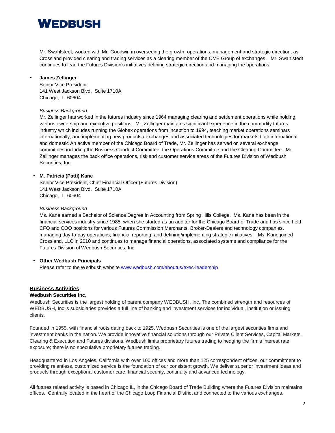# **WEDBUSH**

Mr. Swahlstedt, worked with Mr. Goodwin in overseeing the growth, operations, management and strategic direction, as Crossland provided clearing and trading services as a clearing member of the CME Group of exchanges. Mr. Swahlstedt continues to lead the Futures Division's initiatives defining strategic direction and managing the operations.

# • **James Zellinger**

Senior Vice President 141 West Jackson Blvd. Suite 1710A Chicago, IL 60604

# *Business Background*

Mr. Zellinger has worked in the futures industry since 1964 managing clearing and settlement operations while holding various ownership and executive positions. Mr. Zellinger maintains significant experience in the commodity futures industry which includes running the Globex operations from inception to 1994, teaching market operations seminars internationally, and implementing new products / exchanges and associated technologies for markets both international and domestic An active member of the Chicago Board of Trade, Mr. Zellinger has served on several exchange committees including the Business Conduct Committee, the Operations Committee and the Clearing Committee. Mr. Zellinger manages the back office operations, risk and customer service areas of the Futures Division of Wedbush Securities, Inc.

# • **M. Patricia (Patti) Kane**

Senior Vice President, Chief Financial Officer (Futures Division) 141 West Jackson Blvd. Suite 1710A Chicago, IL 60604

# *Business Background*

Ms. Kane earned a Bachelor of Science Degree in Accounting from Spring Hills College. Ms. Kane has been in the financial services industry since 1985, when she started as an auditor for the Chicago Board of Trade and has since held CFO and COO positions for various Futures Commission Merchants, Broker-Dealers and technology companies, managing day-to-day operations, financial reporting, and defining/implementing strategic initiatives. Ms. Kane joined Crossland, LLC in 2010 and continues to manage financial operations, associated systems and compliance for the Futures Division of Wedbush Securities, Inc.

# • **Other Wedbush Principals**

Please refer to the Wedbush website [www.wedbush.com/aboutus/exec-leadership](http://www.wedbush.com/aboutus/exec-leadership)

# **Business Activities**

# **Wedbush Securities Inc.**

Wedbush Securities is the largest holding of parent company WEDBUSH, Inc. The combined strength and resources of WEDBUSH, Inc.'s subsidiaries provides a full line of banking and investment services for individual, institution or issuing clients.

Founded in 1955, with financial roots dating back to 1925, Wedbush Securities is one of the largest securities firms and investment banks in the nation. We provide innovative financial solutions through our Private Client Services, Capital Markets, Clearing & Execution and Futures divisions. Wedbush limits proprietary futures trading to hedging the firm's interest rate exposure; there is no speculative proprietary futures trading.

Headquartered in Los Angeles, California with over 100 offices and more than 125 correspondent offices, our commitment to providing relentless, customized service is the foundation of our consistent growth. We deliver superior investment ideas and products through exceptional customer care, financial security, continuity and advanced technology.

All futures related activity is based in Chicago IL, in the Chicago Board of Trade Building where the Futures Division maintains offices. Centrally located in the heart of the Chicago Loop Financial District and connected to the various exchanges.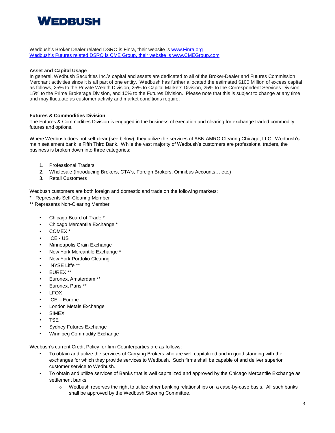

Wedbush's Broker Dealer related DSRO is Finra, their website is [www.Finra.org](http://www.finra.org/) Wedbush's Futures related DSRO is CME Group, their website is [www.CMEGroup.com](http://www.cmegroup.com/)

# **Asset and Capital Usage**

In general, Wedbush Securities Inc.'s capital and assets are dedicated to all of the Broker-Dealer and Futures Commission Merchant activities since it is all part of one entity. Wedbush has further allocated the estimated \$100 Million of excess capital as follows, 25% to the Private Wealth Division, 25% to Capital Markets Division, 25% to the Correspondent Services Division, 15% to the Prime Brokerage Division, and 10% to the Futures Division. Please note that this is subject to change at any time and may fluctuate as customer activity and market conditions require.

# **Futures & Commodities Division**

The Futures & Commodities Division is engaged in the business of execution and clearing for exchange traded commodity futures and options.

Where Wedbush does not self-clear (see below), they utilize the services of ABN AMRO Clearing Chicago, LLC. Wedbush's main settlement bank is Fifth Third Bank. While the vast majority of Wedbush's customers are professional traders, the business is broken down into three categories:

- 1. Professional Traders
- 2. Wholesale (Introducing Brokers, CTA's, Foreign Brokers, Omnibus Accounts… etc.)
- 3. Retail Customers

Wedbush customers are both foreign and domestic and trade on the following markets:

- Represents Self-Clearing Member
- \*\* Represents Non-Clearing Member
	- Chicago Board of Trade \*
	- Chicago Mercantile Exchange \*
	- COMEX \*
	- ICE US
	- Minneapolis Grain Exchange
	- New York Mercantile Exchange \*
	- New York Portfolio Clearing
	- NYSE Liffe \*\*
	- EUREX \*\*
	- Euronext Amsterdam \*\*
	- Euronext Paris \*\*
	- **LFOX**
	- ICE Europe
	- London Metals Exchange
	- **SIMEX**
	- TSE
	- Sydney Futures Exchange
	- Winnipeg Commodity Exchange

Wedbush's current Credit Policy for firm Counterparties are as follows:

- To obtain and utilize the services of Carrying Brokers who are well capitalized and in good standing with the exchanges for which they provide services to Wedbush. Such firms shall be capable of and deliver superior customer service to Wedbush.
- To obtain and utilize services of Banks that is well capitalized and approved by the Chicago Mercantile Exchange as settlement banks.
	- o Wedbush reserves the right to utilize other banking relationships on a case-by-case basis. All such banks shall be approved by the Wedbush Steering Committee.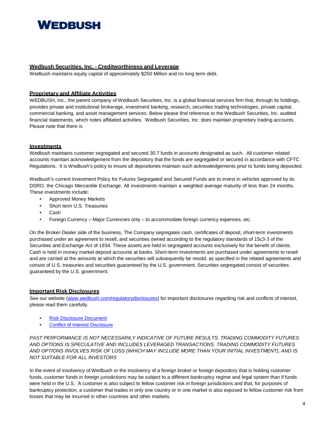# **WEDRUSH**

# **Wedbush Securities, Inc. - Creditworthiness and Leverage**

Wedbush maintains equity capital of approximately \$250 Million and no long term debt.

# **Proprietary and Affiliate Activities**

WEDBUSH, Inc., the parent company of Wedbush Securities, Inc. is a global financial services firm that, through its holdings, provides private and institutional brokerage, investment banking, research, securities trading technologies, private capital, commercial banking, and asset management services. Below please find reference to the Wedbush Securities, Inc. audited financial statements, which notes affiliated activities. Wedbush Securities, Inc. does maintain proprietary trading accounts. Please note that there is

# **Investments**

Wedbush maintains customer segregated and secured 30.7 funds in accounts designated as such. All customer related accounts maintain acknowledgement from the depository that the funds are segregated or secured in accordance with CFTC Regulations. It is Wedbush's policy to insure all depositories maintain such acknowledgements prior to funds being deposited.

Wedbush's current Investment Policy for Futures Segregated and Secured Funds are to invest in vehicles approved by its DSRO, the Chicago Mercantile Exchange. All investments maintain a weighted average maturity of less than 24 months. These investments include:

- Approved Money Markets
- Short term U.S. Treasuries
- Cash
- Foreign Currency Major Currencies only to accommodate foreign currency expenses, etc.

On the Broker-Dealer side of the business, The Company segregates cash, certificates of deposit, short-term investments purchased under an agreement to resell, and securities owned according to the regulatory standards of 15c3-3 of the Securities and Exchange Act of 1934. These assets are held in segregated accounts exclusively for the benefit of clients. Cash is held in money market deposit accounts at banks. Short-term investments are purchased under agreements to resell and are carried at the amounts at which the securities will subsequently be resold, as specified in the related agreements and consist of U.S. treasuries and securities guaranteed by the U.S. government. Securities segregated consist of securities guaranteed by the U.S. government.

# **Important Risk Disclosures**

See our website [\(www.wedbush.com/regulatorydisclosures\)](http://www.wedbush.com/regulatorydisclosures) for important disclosures regarding risk and conflicts of interest, please read them carefully.

- Risk [Disclosure](http://www.wedbush.com/Marketing/WebPages/reg/risk%20disclosure%20statement.pdf) Document
- [Conflict of Interest Disclosure](http://www.wedbush.com/Marketing/WebPages/reg/conflict%20of%20interest%20disclosure.pdf)

*PAST PERFORMANCE IS NOT NECESSARILY INDICATIVE OF FUTURE RESULTS. TRADING COMMODITY FUTURES AND OPTIONS IS SPECULATIVE AND INCLUDES LEVERAGED TRANSACTIONS. TRADING COMMODITY FUTURES AND OPTIONS INVOLVES RISK OF LOSS (WHICH MAY INCLUDE MORE THAN YOUR INITIAL INVESTMENT), AND IS NOT SUITABLE FOR ALL INVESTORS*

In the event of insolvency of Wedbush or the insolvency of a foreign broker or foreign depository that is holding customer funds, customer funds in foreign jurisdictions may be subject to a different bankruptcy regime and legal system than if funds were held in the U.S. A customer is also subject to fellow customer risk in foreign jurisdictions and that, for purposes of bankruptcy protection, a customer that trades in only one country or in one market is also exposed to fellow customer risk from losses that may be incurred in other countries and other markets.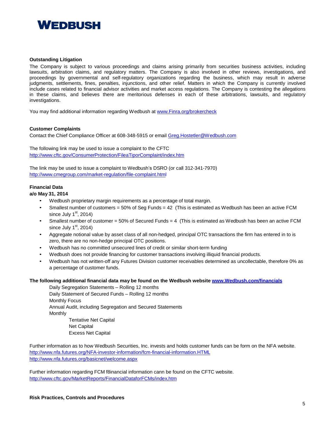

#### **Outstanding Litigation**

The Company is subject to various proceedings and claims arising primarily from securities business activities, including lawsuits, arbitration claims, and regulatory matters. The Company is also involved in other reviews, investigations, and proceedings by governmental and self-regulatory organizations regarding the business, which may result in adverse judgments, settlements, fines, penalties, injunctions, and other relief. Matters in which the Company is currently involved include cases related to financial advisor activities and market access regulations. The Company is contesting the allegations in these claims, and believes there are meritorious defenses in each of these arbitrations, lawsuits, and regulatory investigations.

You may find additional information regarding Wedbush at [www.Finra.org/brokercheck](http://www.finra.org/brokercheck)

#### **Customer Complaints**

Contact the Chief Compliance Officer at 608-348-5915 or email [Greg.Hostetler@Wedbush.com](mailto:Greg.Hostetler@Wedbush.com)

The following link may be used to issue a complaint to the CFTC <http://www.cftc.gov/ConsumerProtection/FileaTiporComplaint/index.htm>

The link may be used to issue a complaint to Wedbush's DSRO (or call 312-341-7970) <http://www.cmegroup.com/market-regulation/file-complaint.html>

# **Financial Data**

**a/o May 31, 2014**

- Wedbush proprietary margin requirements as a percentage of total margin.
- Smallest number of customers = 50% of Seg Funds = 42 (This is estimated as Wedbush has been an active FCM since July  $1<sup>st</sup>$ , 2014)
- Smallest number of customer = 50% of Secured Funds = 4 (This is estimated as Wedbush has been an active FCM since July  $1<sup>st</sup>$ , 2014)
- Aggregate notional value by asset class of all non-hedged, principal OTC transactions the firm has entered in to is zero, there are no non-hedge principal OTC positions.
- Wedbush has no committed unsecured lines of credit or similar short-term funding
- Wedbush does not provide financing for customer transactions involving illiquid financial products.
- Wedbush has not written-off any Futures Division customer receivables determined as uncollectable, therefore 0% as a percentage of customer funds.

# **The following additional financial data may be found on the Wedbush website [www.Wedbush.com/financials](http://www.wedbush.com/financial)**

Daily Segregation Statements – Rolling 12 months Daily Statement of Secured Funds – Rolling 12 months Monthly Focus Annual Audit, including Segregation and Secured Statements Monthly Tentative Net Capital Net Capital Excess Net Capital

Further information as to how Wedbush Securities, Inc. invests and holds customer funds can be form on the NFA website. <http://www.nfa.futures.org/NFA-investor-information/fcm-financial-information.HTML> <http://www.nfa.futures.org/basicnet/welcome.aspx>

Further information regarding FCM f8inancial information cann be found on the CFTC website. <http://www.cftc.gov/MarketReports/FinancialDataforFCMs/index.htm>